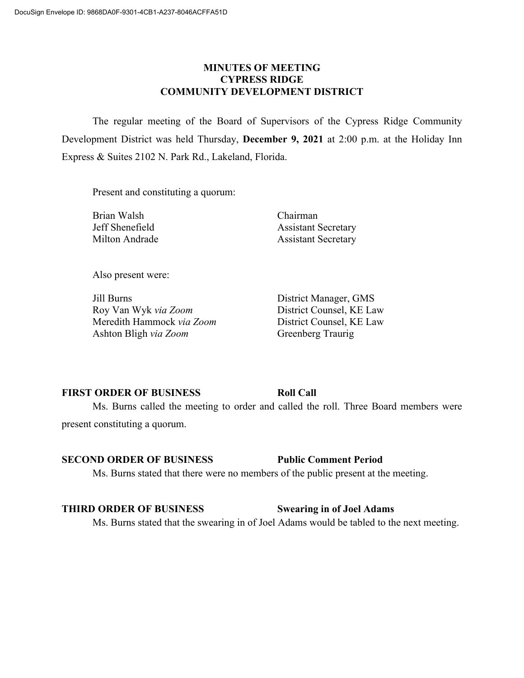## **MINUTES OF MEETING CYPRESS RIDGE COMMUNITY DEVELOPMENT DISTRICT**

The regular meeting of the Board of Supervisors of the Cypress Ridge Community Development District was held Thursday, **December 9, 2021** at 2:00 p.m. at the Holiday Inn Express & Suites 2102 N. Park Rd., Lakeland, Florida.

Present and constituting a quorum:

Brian Walsh Chairman

Jeff Shenefield Assistant Secretary Milton Andrade Assistant Secretary

Also present were:

Jill Burns District Manager, GMS Roy Van Wyk *via Zoom* District Counsel, KE Law Meredith Hammock *via Zoom* District Counsel, KE Law Ashton Bligh *via Zoom* Greenberg Traurig

## **FIRST ORDER OF BUSINESS Roll Call**

Ms. Burns called the meeting to order and called the roll. Three Board members were present constituting a quorum.

## **SECOND ORDER OF BUSINESS Public Comment Period**

Ms. Burns stated that there were no members of the public present at the meeting.

# **THIRD ORDER OF BUSINESS Swearing in of Joel Adams**

Ms. Burns stated that the swearing in of Joel Adams would be tabled to the next meeting.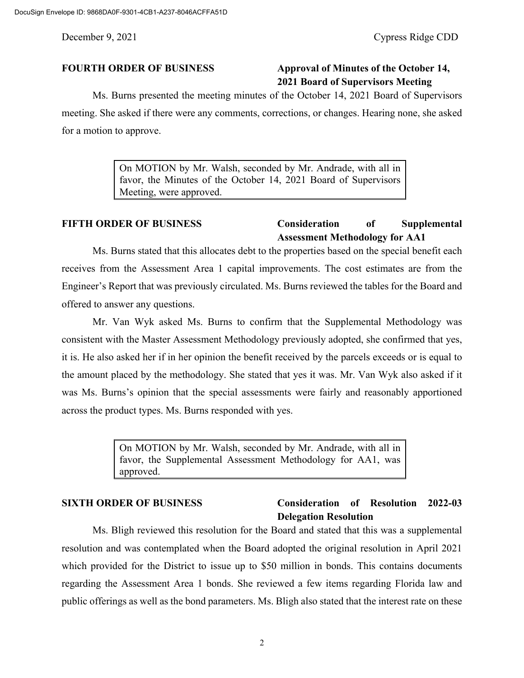# **FOURTH ORDER OF BUSINESS Approval of Minutes of the October 14, 2021 Board of Supervisors Meeting**

Ms. Burns presented the meeting minutes of the October 14, 2021 Board of Supervisors meeting. She asked if there were any comments, corrections, or changes. Hearing none, she asked for a motion to approve.

> On MOTION by Mr. Walsh, seconded by Mr. Andrade, with all in favor, the Minutes of the October 14, 2021 Board of Supervisors Meeting, were approved.

# **FIFTH ORDER OF BUSINESS Consideration of Supplemental Assessment Methodology for AA1**

Ms. Burns stated that this allocates debt to the properties based on the special benefit each receives from the Assessment Area 1 capital improvements. The cost estimates are from the Engineer's Report that was previously circulated. Ms. Burns reviewed the tables for the Board and offered to answer any questions.

Mr. Van Wyk asked Ms. Burns to confirm that the Supplemental Methodology was consistent with the Master Assessment Methodology previously adopted, she confirmed that yes, it is. He also asked her if in her opinion the benefit received by the parcels exceeds or is equal to the amount placed by the methodology. She stated that yes it was. Mr. Van Wyk also asked if it was Ms. Burns's opinion that the special assessments were fairly and reasonably apportioned across the product types. Ms. Burns responded with yes.

> On MOTION by Mr. Walsh, seconded by Mr. Andrade, with all in favor, the Supplemental Assessment Methodology for AA1, was approved.

## **SIXTH ORDER OF BUSINESS Consideration of Resolution 2022-03 Delegation Resolution**

Ms. Bligh reviewed this resolution for the Board and stated that this was a supplemental resolution and was contemplated when the Board adopted the original resolution in April 2021 which provided for the District to issue up to \$50 million in bonds. This contains documents regarding the Assessment Area 1 bonds. She reviewed a few items regarding Florida law and public offerings as well as the bond parameters. Ms. Bligh also stated that the interest rate on these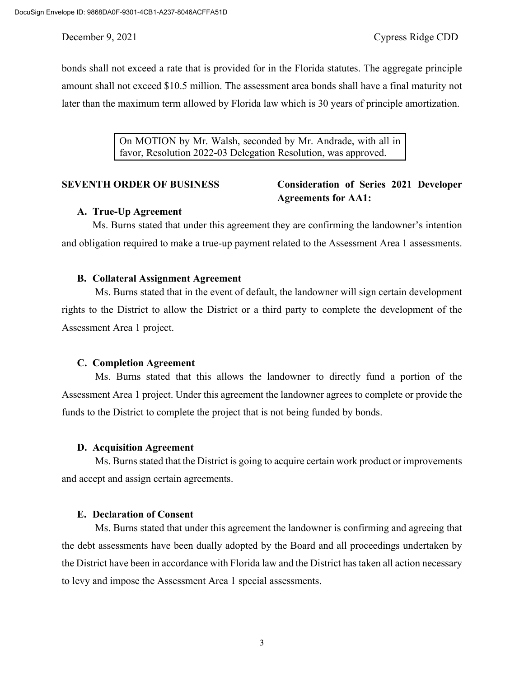bonds shall not exceed a rate that is provided for in the Florida statutes. The aggregate principle amount shall not exceed \$10.5 million. The assessment area bonds shall have a final maturity not later than the maximum term allowed by Florida law which is 30 years of principle amortization.

> On MOTION by Mr. Walsh, seconded by Mr. Andrade, with all in favor, Resolution 2022-03 Delegation Resolution, was approved.

# **SEVENTH ORDER OF BUSINESS Consideration of Series 2021 Developer Agreements for AA1:**

## **A. True-Up Agreement**

Ms. Burns stated that under this agreement they are confirming the landowner's intention and obligation required to make a true-up payment related to the Assessment Area 1 assessments.

### **B. Collateral Assignment Agreement**

Ms. Burns stated that in the event of default, the landowner will sign certain development rights to the District to allow the District or a third party to complete the development of the Assessment Area 1 project.

## **C. Completion Agreement**

Ms. Burns stated that this allows the landowner to directly fund a portion of the Assessment Area 1 project. Under this agreement the landowner agrees to complete or provide the funds to the District to complete the project that is not being funded by bonds.

### **D. Acquisition Agreement**

Ms. Burns stated that the District is going to acquire certain work product or improvements and accept and assign certain agreements.

### **E. Declaration of Consent**

Ms. Burns stated that under this agreement the landowner is confirming and agreeing that the debt assessments have been dually adopted by the Board and all proceedings undertaken by the District have been in accordance with Florida law and the District has taken all action necessary to levy and impose the Assessment Area 1 special assessments.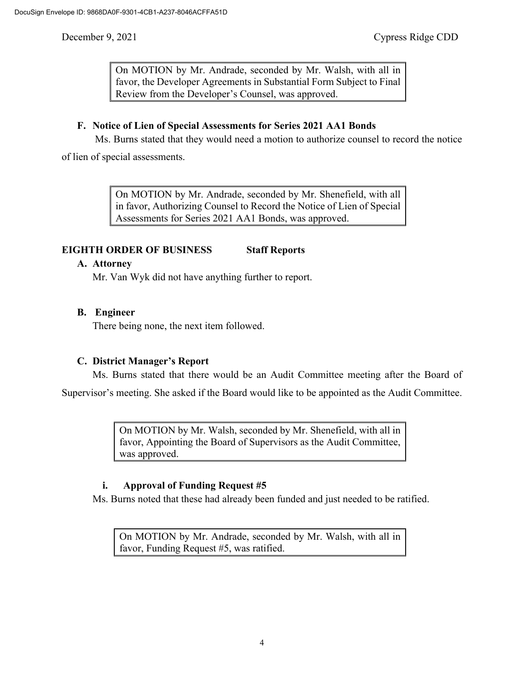On MOTION by Mr. Andrade, seconded by Mr. Walsh, with all in favor, the Developer Agreements in Substantial Form Subject to Final Review from the Developer's Counsel, was approved.

## **F. Notice of Lien of Special Assessments for Series 2021 AA1 Bonds**

Ms. Burns stated that they would need a motion to authorize counsel to record the notice

of lien of special assessments.

On MOTION by Mr. Andrade, seconded by Mr. Shenefield, with all in favor, Authorizing Counsel to Record the Notice of Lien of Special Assessments for Series 2021 AA1 Bonds, was approved.

## **EIGHTH ORDER OF BUSINESS Staff Reports**

### **A. Attorney**

Mr. Van Wyk did not have anything further to report.

## **B. Engineer**

There being none, the next item followed.

## **C. District Manager's Report**

Ms. Burns stated that there would be an Audit Committee meeting after the Board of

Supervisor's meeting. She asked if the Board would like to be appointed as the Audit Committee.

On MOTION by Mr. Walsh, seconded by Mr. Shenefield, with all in favor, Appointing the Board of Supervisors as the Audit Committee, was approved.

## **i. Approval of Funding Request #5**

Ms. Burns noted that these had already been funded and just needed to be ratified.

On MOTION by Mr. Andrade, seconded by Mr. Walsh, with all in favor, Funding Request #5, was ratified.